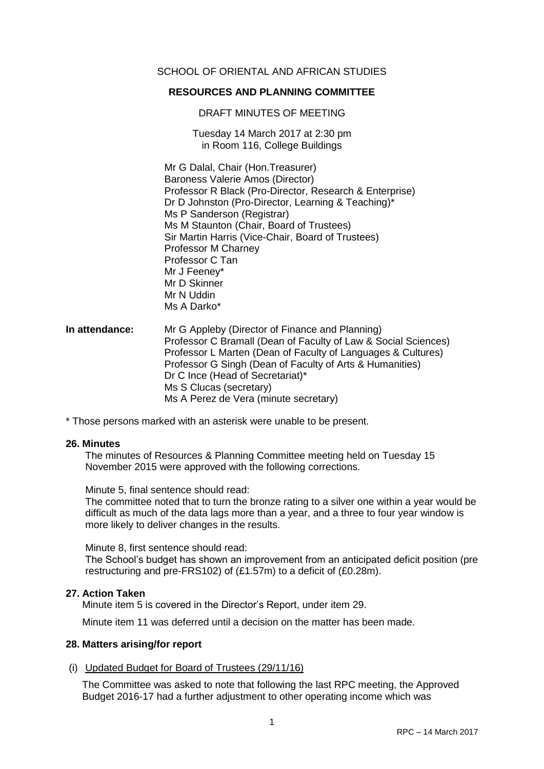## SCHOOL OF ORIENTAL AND AFRICAN STUDIES

## **RESOURCES AND PLANNING COMMITTEE**

DRAFT MINUTES OF MEETING

Tuesday 14 March 2017 at 2:30 pm in Room 116, College Buildings

Mr G Dalal, Chair (Hon.Treasurer) Baroness Valerie Amos (Director) Professor R Black (Pro-Director, Research & Enterprise) Dr D Johnston (Pro-Director, Learning & Teaching)\* Ms P Sanderson (Registrar) Ms M Staunton (Chair, Board of Trustees) Sir Martin Harris (Vice-Chair, Board of Trustees) Professor M Charney Professor C Tan Mr J Feeney\* Mr D Skinner Mr N Uddin Ms A Darko\*

**In attendance:** Mr G Appleby (Director of Finance and Planning) Professor C Bramall (Dean of Faculty of Law & Social Sciences) Professor L Marten (Dean of Faculty of Languages & Cultures) Professor G Singh (Dean of Faculty of Arts & Humanities) Dr C Ince (Head of Secretariat)\* Ms S Clucas (secretary) Ms A Perez de Vera (minute secretary)

\* Those persons marked with an asterisk were unable to be present.

## **26. Minutes**

The minutes of Resources & Planning Committee meeting held on Tuesday 15 November 2015 were approved with the following corrections.

Minute 5, final sentence should read:

The committee noted that to turn the bronze rating to a silver one within a year would be difficult as much of the data lags more than a year, and a three to four year window is more likely to deliver changes in the results.

Minute 8, first sentence should read:

The School's budget has shown an improvement from an anticipated deficit position (pre restructuring and pre-FRS102) of (£1.57m) to a deficit of (£0.28m).

## **27. Action Taken**

Minute item 5 is covered in the Director's Report, under item 29.

Minute item 11 was deferred until a decision on the matter has been made.

## **28. Matters arising/for report**

## (i) Updated Budget for Board of Trustees (29/11/16)

The Committee was asked to note that following the last RPC meeting, the Approved Budget 2016-17 had a further adjustment to other operating income which was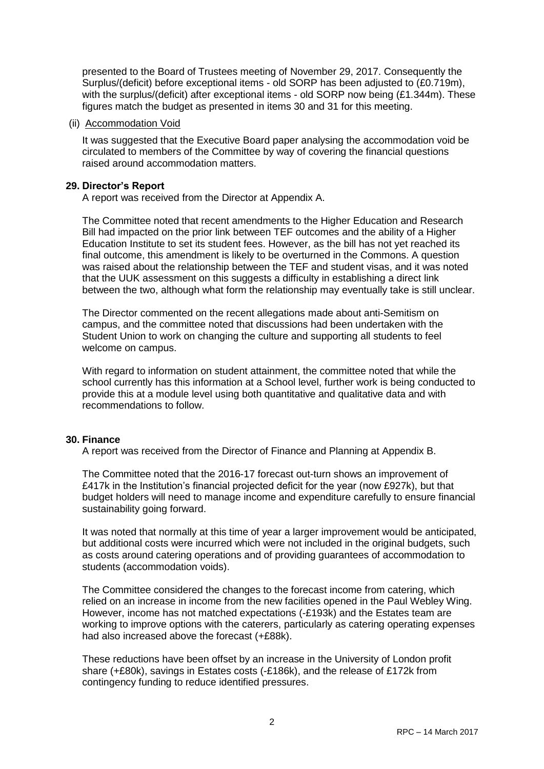presented to the Board of Trustees meeting of November 29, 2017. Consequently the Surplus/(deficit) before exceptional items - old SORP has been adjusted to (£0.719m), with the surplus/(deficit) after exceptional items - old SORP now being (£1.344m). These figures match the budget as presented in items 30 and 31 for this meeting.

## (ii) Accommodation Void

It was suggested that the Executive Board paper analysing the accommodation void be circulated to members of the Committee by way of covering the financial questions raised around accommodation matters.

## **29. Director's Report**

A report was received from the Director at Appendix A.

The Committee noted that recent amendments to the Higher Education and Research Bill had impacted on the prior link between TEF outcomes and the ability of a Higher Education Institute to set its student fees. However, as the bill has not yet reached its final outcome, this amendment is likely to be overturned in the Commons. A question was raised about the relationship between the TEF and student visas, and it was noted that the UUK assessment on this suggests a difficulty in establishing a direct link between the two, although what form the relationship may eventually take is still unclear.

The Director commented on the recent allegations made about anti-Semitism on campus, and the committee noted that discussions had been undertaken with the Student Union to work on changing the culture and supporting all students to feel welcome on campus.

With regard to information on student attainment, the committee noted that while the school currently has this information at a School level, further work is being conducted to provide this at a module level using both quantitative and qualitative data and with recommendations to follow.

## **30. Finance**

A report was received from the Director of Finance and Planning at Appendix B.

The Committee noted that the 2016-17 forecast out-turn shows an improvement of £417k in the Institution's financial projected deficit for the year (now £927k), but that budget holders will need to manage income and expenditure carefully to ensure financial sustainability going forward.

It was noted that normally at this time of year a larger improvement would be anticipated, but additional costs were incurred which were not included in the original budgets, such as costs around catering operations and of providing guarantees of accommodation to students (accommodation voids).

The Committee considered the changes to the forecast income from catering, which relied on an increase in income from the new facilities opened in the Paul Webley Wing. However, income has not matched expectations (-£193k) and the Estates team are working to improve options with the caterers, particularly as catering operating expenses had also increased above the forecast (+£88k).

These reductions have been offset by an increase in the University of London profit share (+£80k), savings in Estates costs (-£186k), and the release of £172k from contingency funding to reduce identified pressures.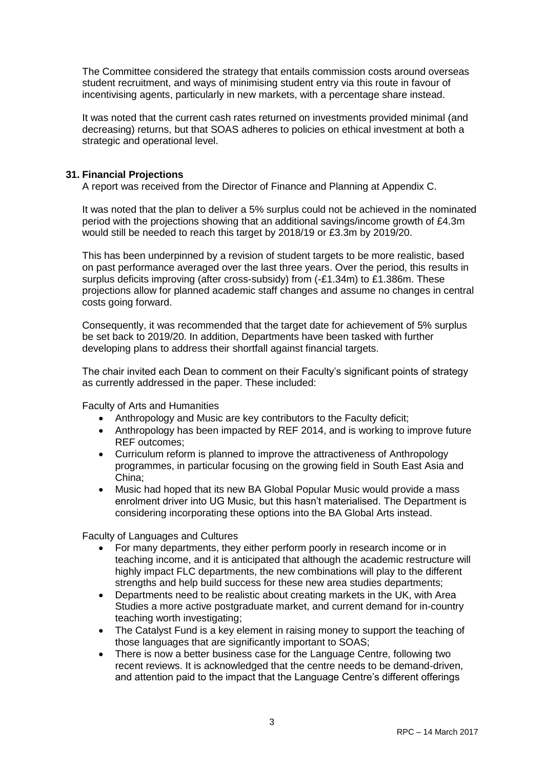The Committee considered the strategy that entails commission costs around overseas student recruitment, and ways of minimising student entry via this route in favour of incentivising agents, particularly in new markets, with a percentage share instead.

It was noted that the current cash rates returned on investments provided minimal (and decreasing) returns, but that SOAS adheres to policies on ethical investment at both a strategic and operational level.

## **31. Financial Projections**

A report was received from the Director of Finance and Planning at Appendix C.

It was noted that the plan to deliver a 5% surplus could not be achieved in the nominated period with the projections showing that an additional savings/income growth of £4.3m would still be needed to reach this target by 2018/19 or £3.3m by 2019/20.

This has been underpinned by a revision of student targets to be more realistic, based on past performance averaged over the last three years. Over the period, this results in surplus deficits improving (after cross-subsidy) from (-£1.34m) to £1.386m. These projections allow for planned academic staff changes and assume no changes in central costs going forward.

Consequently, it was recommended that the target date for achievement of 5% surplus be set back to 2019/20. In addition, Departments have been tasked with further developing plans to address their shortfall against financial targets.

The chair invited each Dean to comment on their Faculty's significant points of strategy as currently addressed in the paper. These included:

Faculty of Arts and Humanities

- Anthropology and Music are key contributors to the Faculty deficit;
- Anthropology has been impacted by REF 2014, and is working to improve future REF outcomes;
- Curriculum reform is planned to improve the attractiveness of Anthropology programmes, in particular focusing on the growing field in South East Asia and China;
- Music had hoped that its new BA Global Popular Music would provide a mass enrolment driver into UG Music, but this hasn't materialised. The Department is considering incorporating these options into the BA Global Arts instead.

Faculty of Languages and Cultures

- For many departments, they either perform poorly in research income or in teaching income, and it is anticipated that although the academic restructure will highly impact FLC departments, the new combinations will play to the different strengths and help build success for these new area studies departments;
- Departments need to be realistic about creating markets in the UK, with Area Studies a more active postgraduate market, and current demand for in-country teaching worth investigating;
- The Catalyst Fund is a key element in raising money to support the teaching of those languages that are significantly important to SOAS;
- There is now a better business case for the Language Centre, following two recent reviews. It is acknowledged that the centre needs to be demand-driven, and attention paid to the impact that the Language Centre's different offerings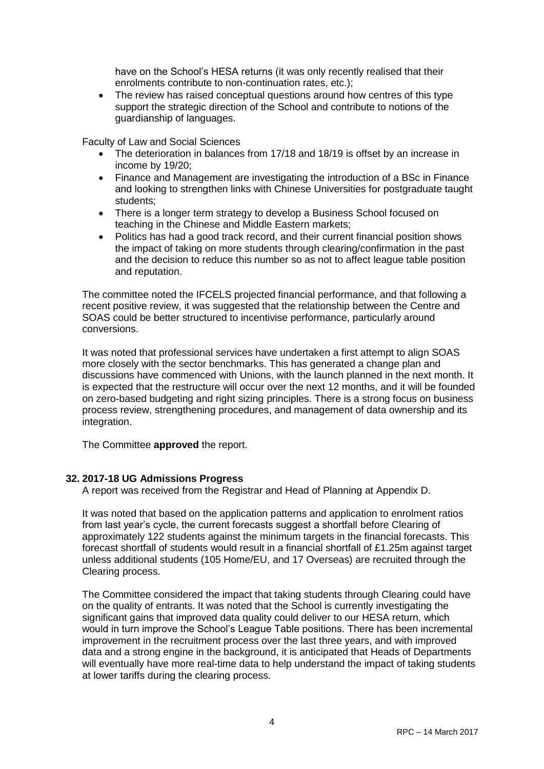have on the School's HESA returns (it was only recently realised that their enrolments contribute to non-continuation rates, etc.);

 The review has raised conceptual questions around how centres of this type support the strategic direction of the School and contribute to notions of the guardianship of languages.

Faculty of Law and Social Sciences

- The deterioration in balances from 17/18 and 18/19 is offset by an increase in income by 19/20;
- Finance and Management are investigating the introduction of a BSc in Finance and looking to strengthen links with Chinese Universities for postgraduate taught students;
- There is a longer term strategy to develop a Business School focused on teaching in the Chinese and Middle Eastern markets;
- Politics has had a good track record, and their current financial position shows the impact of taking on more students through clearing/confirmation in the past and the decision to reduce this number so as not to affect league table position and reputation.

The committee noted the IFCELS projected financial performance, and that following a recent positive review, it was suggested that the relationship between the Centre and SOAS could be better structured to incentivise performance, particularly around conversions.

It was noted that professional services have undertaken a first attempt to align SOAS more closely with the sector benchmarks. This has generated a change plan and discussions have commenced with Unions, with the launch planned in the next month. It is expected that the restructure will occur over the next 12 months, and it will be founded on zero-based budgeting and right sizing principles. There is a strong focus on business process review, strengthening procedures, and management of data ownership and its integration.

The Committee **approved** the report.

## **32. 2017-18 UG Admissions Progress**

A report was received from the Registrar and Head of Planning at Appendix D.

It was noted that based on the application patterns and application to enrolment ratios from last year's cycle, the current forecasts suggest a shortfall before Clearing of approximately 122 students against the minimum targets in the financial forecasts. This forecast shortfall of students would result in a financial shortfall of £1.25m against target unless additional students (105 Home/EU, and 17 Overseas) are recruited through the Clearing process.

The Committee considered the impact that taking students through Clearing could have on the quality of entrants. It was noted that the School is currently investigating the significant gains that improved data quality could deliver to our HESA return, which would in turn improve the School's League Table positions. There has been incremental improvement in the recruitment process over the last three years, and with improved data and a strong engine in the background, it is anticipated that Heads of Departments will eventually have more real-time data to help understand the impact of taking students at lower tariffs during the clearing process.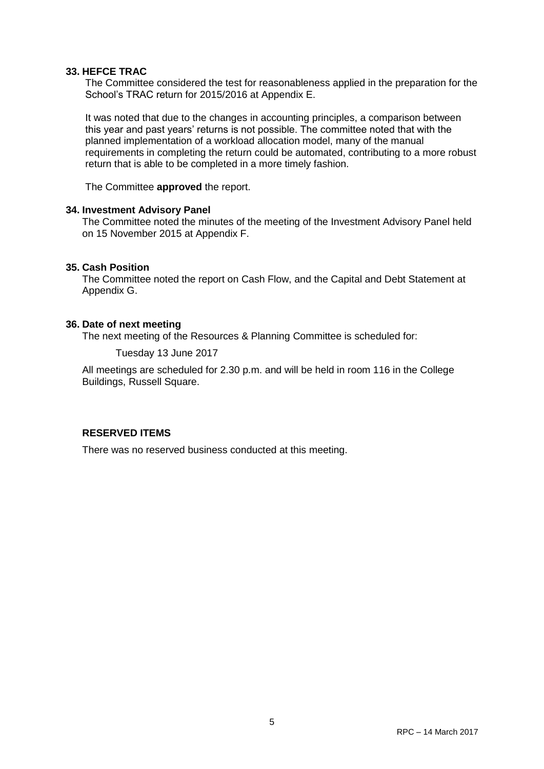## **33. HEFCE TRAC**

The Committee considered the test for reasonableness applied in the preparation for the School's TRAC return for 2015/2016 at Appendix E.

It was noted that due to the changes in accounting principles, a comparison between this year and past years' returns is not possible. The committee noted that with the planned implementation of a workload allocation model, many of the manual requirements in completing the return could be automated, contributing to a more robust return that is able to be completed in a more timely fashion.

The Committee **approved** the report.

## **34. Investment Advisory Panel**

The Committee noted the minutes of the meeting of the Investment Advisory Panel held on 15 November 2015 at Appendix F.

## **35. Cash Position**

The Committee noted the report on Cash Flow, and the Capital and Debt Statement at Appendix G.

## **36. Date of next meeting**

The next meeting of the Resources & Planning Committee is scheduled for:

Tuesday 13 June 2017

All meetings are scheduled for 2.30 p.m. and will be held in room 116 in the College Buildings, Russell Square.

## **RESERVED ITEMS**

There was no reserved business conducted at this meeting.